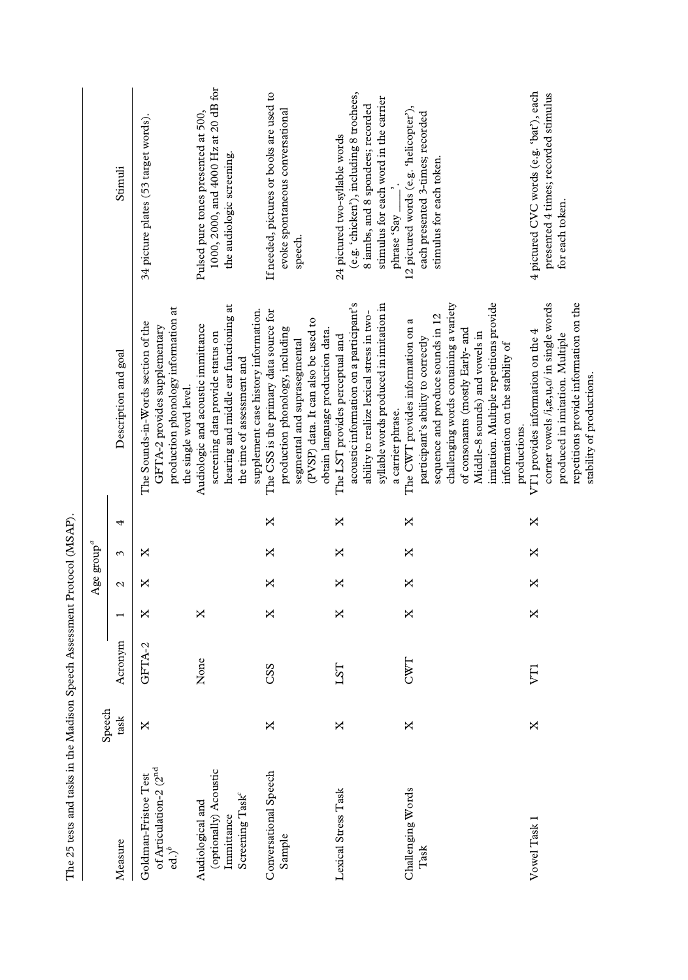| The 25 tests and tasks in the Madison Speech Assessment Protocol (MSAP)                |        |         |                |               |                              |   |                                                                                                                                                                                                                                                                                                            |                                                                                                                                                                        |
|----------------------------------------------------------------------------------------|--------|---------|----------------|---------------|------------------------------|---|------------------------------------------------------------------------------------------------------------------------------------------------------------------------------------------------------------------------------------------------------------------------------------------------------------|------------------------------------------------------------------------------------------------------------------------------------------------------------------------|
|                                                                                        | Speech |         |                |               | Age $\operatorname{group}^a$ |   |                                                                                                                                                                                                                                                                                                            |                                                                                                                                                                        |
| Measure                                                                                | task   | Acronym | $\overline{ }$ | $\mathcal{L}$ | 3                            | 4 | Description and goal                                                                                                                                                                                                                                                                                       | Stimuli                                                                                                                                                                |
| of Articulation-2 (2 <sup>nd</sup><br>Goldman-Fristoe Test<br>$ed.)^b$                 | ×      | GFTA-2  | ×              | ×             | ×                            |   | production phonology information at<br>The Sounds-in-Words section of the<br>GFTA-2 provides supplementary<br>the single word level                                                                                                                                                                        | 34 picture plates (53 target words).                                                                                                                                   |
| (optionally) Acoustic<br>Screening Task <sup>e</sup><br>Audiological and<br>Immittance |        | None    | ×              |               |                              |   | hearing and middle ear functioning at<br>Audiologic and acoustic immittance<br>screening data provide status on<br>the time of assessment and                                                                                                                                                              | 1000, 2000, and 4000 Hz at 20 dB for<br>Pulsed pure tones presented at 500,<br>the audiologic screening.                                                               |
| Conversational Speech<br>Sample                                                        | X      | CSS     | ×              | ×             | ×                            | × | The CSS is the primary data source for<br>supplement case history information.<br>(PVSP) data. It can also be used to<br>production phonology, including<br>segmental and suprasegmental                                                                                                                   | If needed, pictures or books are used to<br>evoke spontaneous conversational<br>speech.                                                                                |
| Lexical Stress Task                                                                    | X      | LST     | ×              | ×             | ×                            | × | acoustic information on a participant's<br>syllable words produced in imitation in<br>ability to realize lexical stress in two-<br>obtain language production data.<br>The LST provides perceptual and<br>a carrier phrase.                                                                                | (e.g. 'chicken'), including 8 trochees,<br>stimulus for each word in the carrier<br>8 iambs, and 8 spondees; recorded<br>24 pictured two-syllable words<br>phrase 'Say |
| Challenging Words<br>Task                                                              | ×      | CWT     | ×              | X             | ×                            | × | imitation. Multiple repetitions provide<br>challenging words containing a variety<br>sequence and produce sounds in 12<br>The CWT provides information on a<br>of consonants (mostly Early- and<br>Middle-8 sounds) and vowels in<br>participant's ability to correctly<br>information on the stability of | 12 pictured words (e.g. 'helicopter'),<br>each presented 3-times; recorded<br>stimulus for each token.                                                                 |
| Vowel Task 1                                                                           | X      | FI      | X              | X             | X                            | X | repetitions provide information on the<br>corner vowels /i, æ, u, a/ in single words<br>VT1 provides information on the 4<br>produced in imitation. Multiple<br>stability of productions.<br>productions.                                                                                                  | 4 pictured CVC words (e.g. 'bat'), each<br>presented 4 times; recorded stimulus<br>for each token.                                                                     |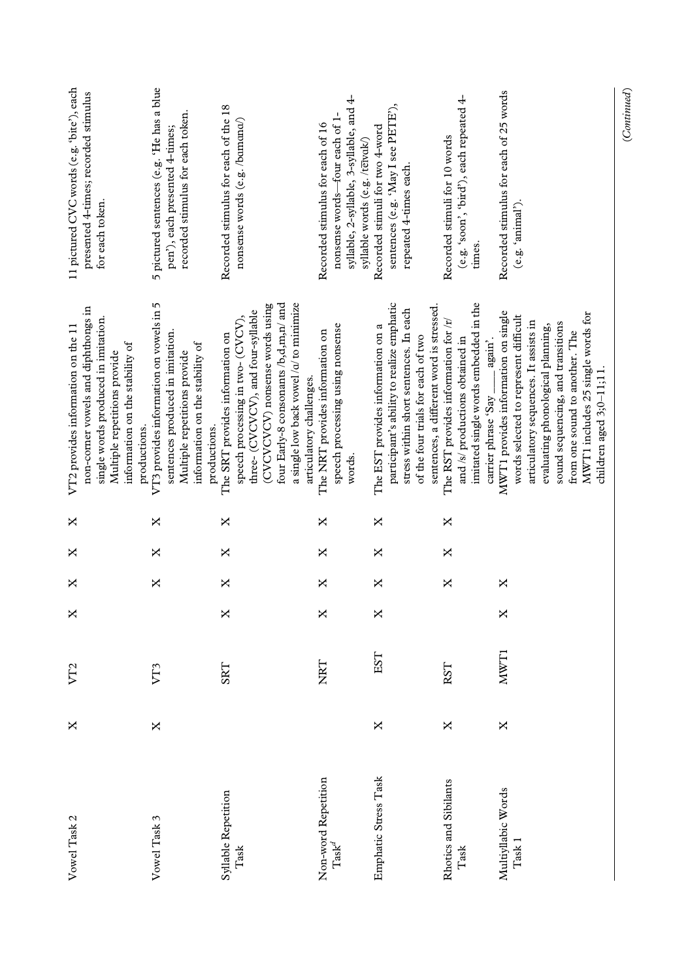$(Continued) % \begin{minipage}[b]{0.5\linewidth} \centering \includegraphics[width=\textwidth]{figures/cross-lingual-2.png} \caption{The corresponding \textit{Cortin} and the \textit{Cortin} is a function of the \textit{Cortin} and the \textit{Dortin} is a function of the \textit{Dortin} and the \textit{Dortin} is a function of the \textit{Dortin} is a function of the \textit{Dortin} is a function of the \textit{Dortin} is a function of the \textit{Dortin} is a function of the \textit{Dortin} is a function of the \textit{Dortin} is a function of the \textit{Dortin} is a function of the \textit{Dortin} is a function of the$ (Continued)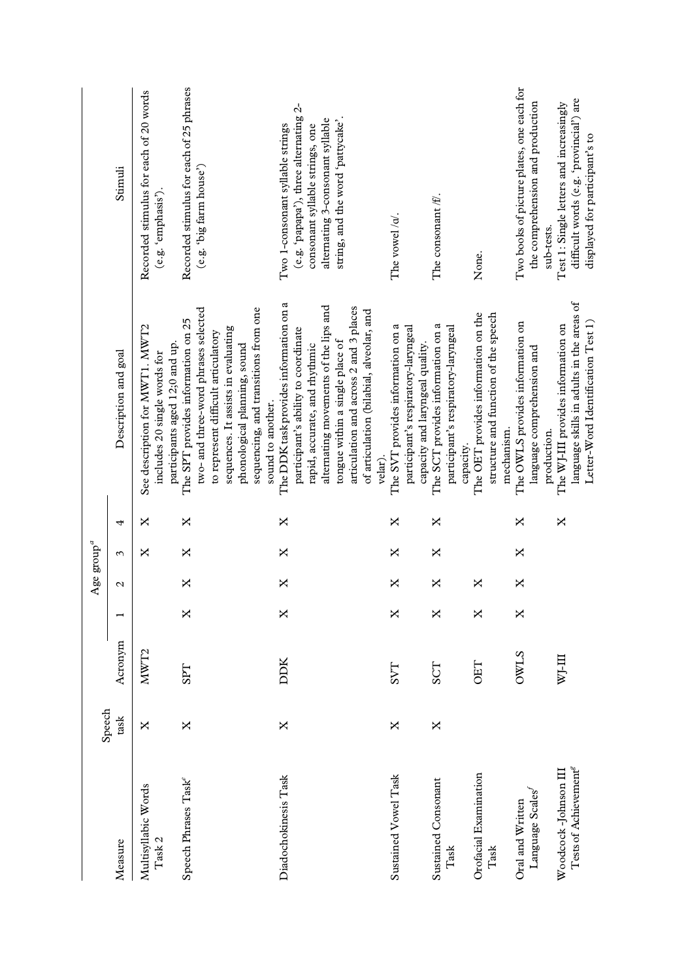|                                                           | Speech |                  |   | Age $\operatorname{group}^a$ |   |   |                                                                                                                                                                                                                                  |                                                                                                                      |
|-----------------------------------------------------------|--------|------------------|---|------------------------------|---|---|----------------------------------------------------------------------------------------------------------------------------------------------------------------------------------------------------------------------------------|----------------------------------------------------------------------------------------------------------------------|
| Measure                                                   | task   | Acronym          |   | Z                            | 3 | 4 | Description and goal                                                                                                                                                                                                             | Stimuli                                                                                                              |
| Multisyllabic Words<br>Task 2                             | ×      | MWT <sub>2</sub> |   |                              | × | × | See description for MWT1. MWT2<br>participants aged 12;0 and up.<br>includes 20 single words for                                                                                                                                 | Recorded stimulus for each of 20 words<br>(e.g. 'emphasis').                                                         |
| Speech Phrases Task <sup>e</sup>                          | X      | <b>TGS</b>       | X | X                            | X | X | sequencing, and transitions from one<br>two- and three-word phrases selected<br>The SPT provides information on 25<br>sequences. It assists in evaluating<br>to represent difficult articulatory<br>phonological planning, sound | Recorded stimulus for each of 25 phrases<br>(e.g. 'big farm house')                                                  |
| Diadochokinesis Task                                      | ×      | DDK              | X | X                            | X | X | The DDK task provides information on a<br>participant's ability to coordinate<br>sound to another.                                                                                                                               | (e.g. 'papapa'), three alternating 2-<br>Two 1-consonant syllable strings                                            |
|                                                           |        |                  |   |                              |   |   | alternating movements of the lips and<br>articulation and across 2 and 3 places<br>of articulation (bilabial, alveolar, and<br>tongue within a single place of<br>rapid, accurate, and rhythmic<br>velar).                       | alternating 3-consonant syllable<br>string, and the word 'pattycake'.<br>consonant syllable strings, one             |
| Sustained Vowel Task                                      | ×      | <b>LAS</b>       | X | X                            | × | X | The SVT provides information on a<br>participant's respiratory-laryngeal<br>capacity and laryngeal quality.                                                                                                                      | The vowel/ $\alpha$                                                                                                  |
| <b>Sustained Consonant</b><br>Task                        | ×      | <b>SCT</b>       | X | X                            | X | X | The SCT provides information on a<br>participant's respiratory-laryngeal<br>capacity.                                                                                                                                            | The consonant <i>ff</i> .                                                                                            |
| Orofacial Examination<br>Task                             |        | <b>OET</b>       | X | ×                            |   |   | The OET provides information on the<br>structure and function of the speech<br>mechanism.                                                                                                                                        | None.                                                                                                                |
| Language Scales<br>Oral and Written                       |        | <b>OWLS</b>      | X | X                            | × | X | The OWLS provides information on<br>language comprehension and<br>production.                                                                                                                                                    | Two books of picture plates, one each for<br>the comprehension and production<br>sub-tests.                          |
| Tests of Achievement <sup>®</sup><br>Woodcock-Johnson III |        | m-Im             |   |                              |   | X | language skills in adults in the areas of<br>Letter-Word Identification Test 1)<br>The WJ-III provides information on                                                                                                            | difficult words (e.g. 'provincial') are<br>Test 1: Single letters and increasingly<br>displayed for participant's to |